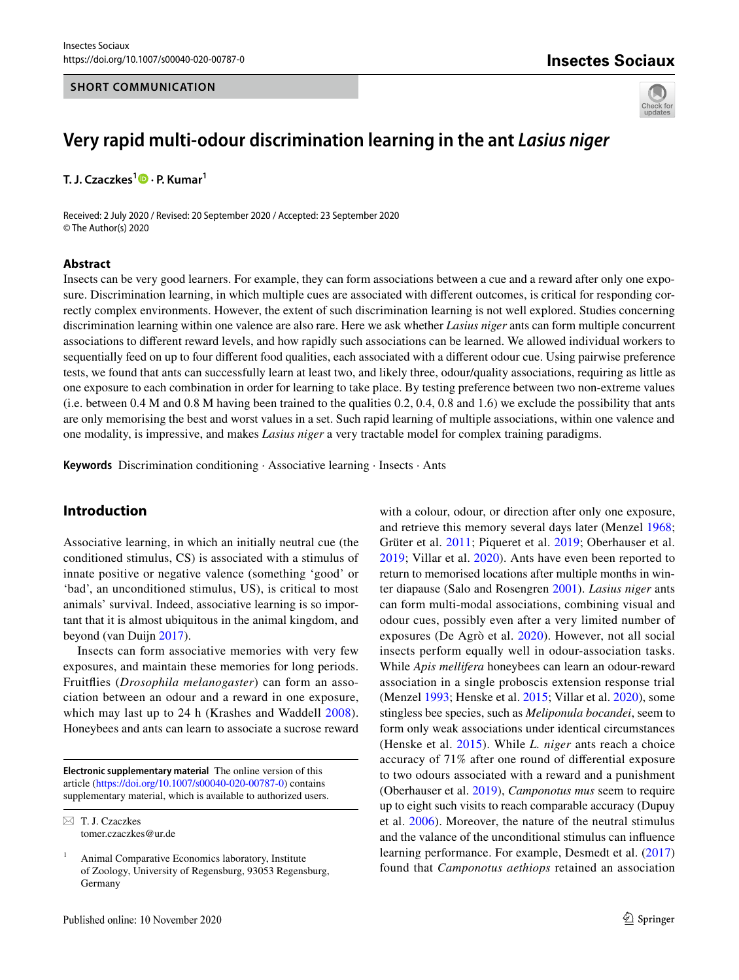#### **SHORT COMMUNICATION**

# **Insectes Sociaux**



# **Very rapid multi‑odour discrimination learning in the ant** *Lasius niger*

**T. J. Czaczkes<sup>1</sup>  [·](http://orcid.org/0000-0002-1350-4975) P. Kumar<sup>1</sup>**

Received: 2 July 2020 / Revised: 20 September 2020 / Accepted: 23 September 2020 © The Author(s) 2020

#### **Abstract**

Insects can be very good learners. For example, they can form associations between a cue and a reward after only one exposure. Discrimination learning, in which multiple cues are associated with diferent outcomes, is critical for responding correctly complex environments. However, the extent of such discrimination learning is not well explored. Studies concerning discrimination learning within one valence are also rare. Here we ask whether *Lasius niger* ants can form multiple concurrent associations to diferent reward levels, and how rapidly such associations can be learned. We allowed individual workers to sequentially feed on up to four diferent food qualities, each associated with a diferent odour cue. Using pairwise preference tests, we found that ants can successfully learn at least two, and likely three, odour/quality associations, requiring as little as one exposure to each combination in order for learning to take place. By testing preference between two non-extreme values (i.e. between 0.4 M and 0.8 M having been trained to the qualities 0.2, 0.4, 0.8 and 1.6) we exclude the possibility that ants are only memorising the best and worst values in a set. Such rapid learning of multiple associations, within one valence and one modality, is impressive, and makes *Lasius niger* a very tractable model for complex training paradigms.

**Keywords** Discrimination conditioning · Associative learning · Insects · Ants

## **Introduction**

Associative learning, in which an initially neutral cue (the conditioned stimulus, CS) is associated with a stimulus of innate positive or negative valence (something 'good' or 'bad', an unconditioned stimulus, US), is critical to most animals' survival. Indeed, associative learning is so important that it is almost ubiquitous in the animal kingdom, and beyond (van Duijn [2017](#page-4-0)).

Insects can form associative memories with very few exposures, and maintain these memories for long periods. Fruitfies (*Drosophila melanogaster*) can form an association between an odour and a reward in one exposure, which may last up to 24 h (Krashes and Waddell [2008](#page-4-1)). Honeybees and ants can learn to associate a sucrose reward

**Electronic supplementary material** The online version of this article [\(https://doi.org/10.1007/s00040-020-00787-0\)](https://doi.org/10.1007/s00040-020-00787-0) contains supplementary material, which is available to authorized users.

 $\boxtimes$  T. J. Czaczkes tomer.czaczkes@ur.de with a colour, odour, or direction after only one exposure, and retrieve this memory several days later (Menzel [1968](#page-4-2); Grüter et al. [2011](#page-4-3); Piqueret et al. [2019](#page-4-4); Oberhauser et al. [2019;](#page-4-5) Villar et al. [2020\)](#page-4-6). Ants have even been reported to return to memorised locations after multiple months in winter diapause (Salo and Rosengren [2001\)](#page-4-7). *Lasius niger* ants can form multi-modal associations, combining visual and odour cues, possibly even after a very limited number of exposures (De Agrò et al. [2020](#page-4-8)). However, not all social insects perform equally well in odour-association tasks. While *Apis mellifera* honeybees can learn an odour-reward association in a single proboscis extension response trial (Menzel [1993](#page-4-9); Henske et al. [2015;](#page-4-10) Villar et al. [2020\)](#page-4-6), some stingless bee species, such as *Meliponula bocandei*, seem to form only weak associations under identical circumstances (Henske et al. [2015\)](#page-4-10). While *L. niger* ants reach a choice accuracy of 71% after one round of diferential exposure to two odours associated with a reward and a punishment (Oberhauser et al. [2019](#page-4-11)), *Camponotus mus* seem to require up to eight such visits to reach comparable accuracy (Dupuy et al. [2006](#page-4-12)). Moreover, the nature of the neutral stimulus and the valance of the unconditional stimulus can infuence learning performance. For example, Desmedt et al. ([2017\)](#page-4-13) found that *Camponotus aethiops* retained an association

<sup>1</sup> Animal Comparative Economics laboratory, Institute of Zoology, University of Regensburg, 93053 Regensburg, Germany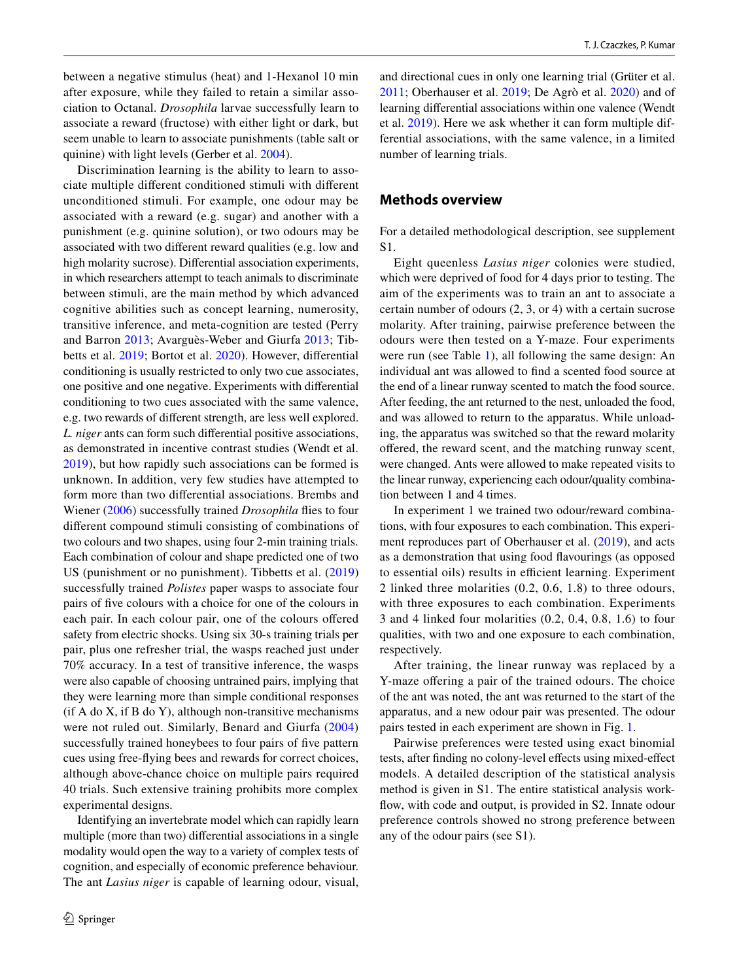between a negative stimulus (heat) and 1-Hexanol 10 min after exposure, while they failed to retain a similar association to Octanal. *Drosophila* larvae successfully learn to associate a reward (fructose) with either light or dark, but seem unable to learn to associate punishments (table salt or quinine) with light levels (Gerber et al. [2004](#page-4-14)).

Discrimination learning is the ability to learn to associate multiple diferent conditioned stimuli with diferent unconditioned stimuli. For example, one odour may be associated with a reward (e.g. sugar) and another with a punishment (e.g. quinine solution), or two odours may be associated with two diferent reward qualities (e.g. low and high molarity sucrose). Diferential association experiments, in which researchers attempt to teach animals to discriminate between stimuli, are the main method by which advanced cognitive abilities such as concept learning, numerosity, transitive inference, and meta-cognition are tested (Perry and Barron [2013;](#page-4-15) Avarguès-Weber and Giurfa [2013;](#page-4-16) Tibbetts et al. [2019](#page-4-17); Bortot et al. [2020](#page-4-18)). However, diferential conditioning is usually restricted to only two cue associates, one positive and one negative. Experiments with diferential conditioning to two cues associated with the same valence, e.g. two rewards of diferent strength, are less well explored. *L. niger* ants can form such diferential positive associations, as demonstrated in incentive contrast studies (Wendt et al. [2019](#page-4-19)), but how rapidly such associations can be formed is unknown. In addition, very few studies have attempted to form more than two diferential associations. Brembs and Wiener [\(2006\)](#page-4-20) successfully trained *Drosophila* fies to four diferent compound stimuli consisting of combinations of two colours and two shapes, using four 2-min training trials. Each combination of colour and shape predicted one of two US (punishment or no punishment). Tibbetts et al. [\(2019\)](#page-4-17) successfully trained *Polistes* paper wasps to associate four pairs of fve colours with a choice for one of the colours in each pair. In each colour pair, one of the colours ofered safety from electric shocks. Using six 30-s training trials per pair, plus one refresher trial, the wasps reached just under 70% accuracy. In a test of transitive inference, the wasps were also capable of choosing untrained pairs, implying that they were learning more than simple conditional responses  $(i$ f A do X, if B do Y), although non-transitive mechanisms were not ruled out. Similarly, Benard and Giurfa ([2004\)](#page-4-21) successfully trained honeybees to four pairs of fve pattern cues using free-fying bees and rewards for correct choices, although above-chance choice on multiple pairs required 40 trials. Such extensive training prohibits more complex experimental designs.

Identifying an invertebrate model which can rapidly learn multiple (more than two) diferential associations in a single modality would open the way to a variety of complex tests of cognition, and especially of economic preference behaviour. The ant *Lasius niger* is capable of learning odour, visual, and directional cues in only one learning trial (Grüter et al. [2011](#page-4-3); Oberhauser et al. [2019](#page-4-5); De Agrò et al. [2020](#page-4-8)) and of learning diferential associations within one valence (Wendt et al. [2019\)](#page-4-19). Here we ask whether it can form multiple differential associations, with the same valence, in a limited number of learning trials.

#### **Methods overview**

For a detailed methodological description, see supplement S1.

Eight queenless *Lasius niger* colonies were studied, which were deprived of food for 4 days prior to testing. The aim of the experiments was to train an ant to associate a certain number of odours (2, 3, or 4) with a certain sucrose molarity. After training, pairwise preference between the odours were then tested on a Y-maze. Four experiments were run (see Table [1\)](#page-2-0), all following the same design: An individual ant was allowed to fnd a scented food source at the end of a linear runway scented to match the food source. After feeding, the ant returned to the nest, unloaded the food, and was allowed to return to the apparatus. While unloading, the apparatus was switched so that the reward molarity ofered, the reward scent, and the matching runway scent, were changed. Ants were allowed to make repeated visits to the linear runway, experiencing each odour/quality combination between 1 and 4 times.

In experiment 1 we trained two odour/reward combinations, with four exposures to each combination. This experiment reproduces part of Oberhauser et al. [\(2019](#page-4-5)), and acts as a demonstration that using food favourings (as opposed to essential oils) results in efficient learning. Experiment 2 linked three molarities (0.2, 0.6, 1.8) to three odours, with three exposures to each combination. Experiments 3 and 4 linked four molarities (0.2, 0.4, 0.8, 1.6) to four qualities, with two and one exposure to each combination, respectively.

After training, the linear runway was replaced by a Y-maze offering a pair of the trained odours. The choice of the ant was noted, the ant was returned to the start of the apparatus, and a new odour pair was presented. The odour pairs tested in each experiment are shown in Fig. [1](#page-2-1).

Pairwise preferences were tested using exact binomial tests, after finding no colony-level effects using mixed-effect models. A detailed description of the statistical analysis method is given in S1. The entire statistical analysis workflow, with code and output, is provided in S2. Innate odour preference controls showed no strong preference between any of the odour pairs (see S1).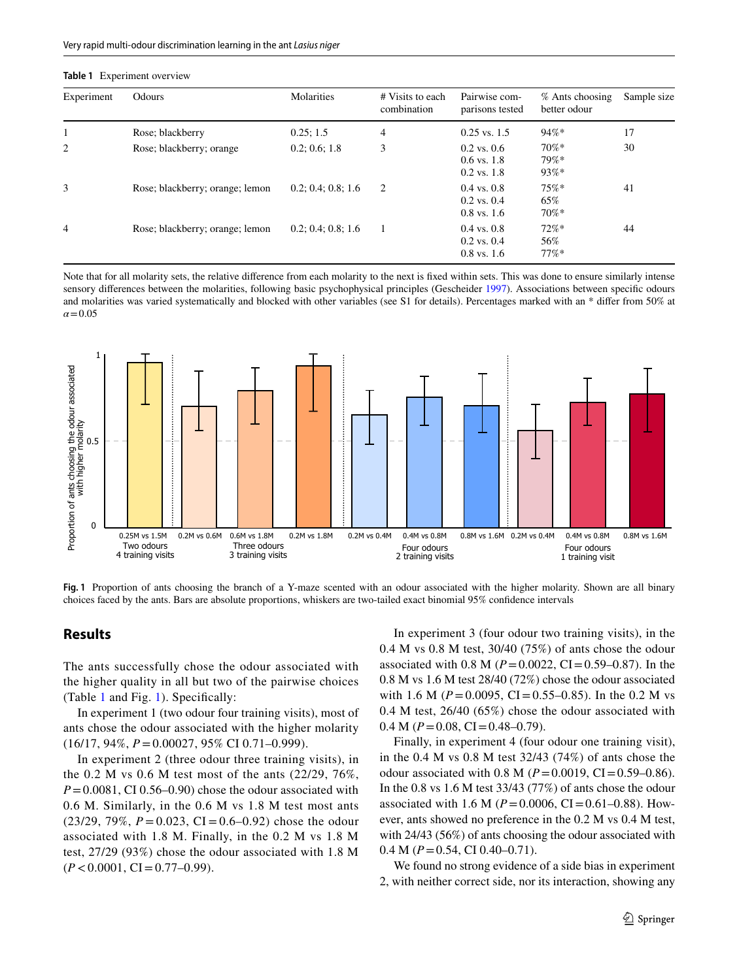<span id="page-2-0"></span>

| Experiment | Odours                          | Molarities         | # Visits to each<br>combination | Pairwise com-<br>parisons tested                    | $%$ Ants choosing<br>better odour | Sa |
|------------|---------------------------------|--------------------|---------------------------------|-----------------------------------------------------|-----------------------------------|----|
|            | Rose; blackberry                | 0.25; 1.5          | 4                               | $0.25$ vs. 1.5                                      | $94\%*$                           | 17 |
| 2          | Rose; blackberry; orange        | 0.2; 0.6; 1.8      | 3                               | $0.2$ vs. $0.6$<br>$0.6$ vs. 1.8<br>$0.2$ vs. $1.8$ | $70\%*$<br>$79\%*$<br>$93%$ *     | 30 |
|            | Rose; blackberry; orange; lemon | 0.2; 0.4; 0.8; 1.6 | 2                               | $0.4$ vs. $0.8$<br>$0.2$ vs. $0.4$<br>$0.8$ vs. 1.6 | 75%<br>65%<br>$70\%*$             | 41 |
|            | Rose; blackberry; orange; lemon | 0.2; 0.4; 0.8; 1.6 | 1                               | $0.4$ vs. $0.8$<br>$0.2$ vs. $0.4$<br>$0.8$ vs. 1.6 | $72%$ *<br>56%<br>$77%$ *         | 44 |

Note that for all molarity sets, the relative diference from each molarity to the next is fxed within sets. This was done to ensure similarly intense sensory diferences between the molarities, following basic psychophysical principles (Gescheider [1997](#page-4-22)). Associations between specifc odours and molarities was varied systematically and blocked with other variables (see S1 for details). Percentages marked with an \* difer from 50% at  $a = 0.05$ 



<span id="page-2-1"></span>**Fig. 1** Proportion of ants choosing the branch of a Y-maze scented with an odour associated with the higher molarity. Shown are all binary choices faced by the ants. Bars are absolute proportions, whiskers are two-tailed exact binomial 95% confdence intervals

## **Results**

The ants successfully chose the odour associated with the higher quality in all but two of the pairwise choices (Table [1](#page-2-0) and Fig. [1](#page-2-1)). Specifcally:

In experiment 1 (two odour four training visits), most of ants chose the odour associated with the higher molarity (16/17, 94%, *P*=0.00027, 95% CI 0.71–0.999).

In experiment 2 (three odour three training visits), in the 0.2 M vs 0.6 M test most of the ants (22/29, 76%,  $P=0.0081$ , CI 0.56–0.90) chose the odour associated with 0.6 M. Similarly, in the 0.6 M vs 1.8 M test most ants  $(23/29, 79\%, P = 0.023, CI = 0.6 - 0.92)$  chose the odour associated with 1.8 M. Finally, in the 0.2 M vs 1.8 M test, 27/29 (93%) chose the odour associated with 1.8 M  $(P < 0.0001, CI = 0.77 - 0.99)$ .

In experiment 3 (four odour two training visits), in the 0.4 M vs 0.8 M test, 30/40 (75%) of ants chose the odour associated with 0.8 M ( $P = 0.0022$ , CI = 0.59–0.87). In the 0.8 M vs 1.6 M test 28/40 (72%) chose the odour associated with 1.6 M ( $P = 0.0095$ , CI = 0.55–0.85). In the 0.2 M vs 0.4 M test, 26/40 (65%) chose the odour associated with  $0.4 M (P = 0.08, CI = 0.48 - 0.79).$ 

Finally, in experiment 4 (four odour one training visit), in the 0.4 M vs 0.8 M test 32/43 (74%) of ants chose the odour associated with 0.8 M ( $P = 0.0019$ , CI = 0.59–0.86). In the 0.8 vs 1.6 M test 33/43 (77%) of ants chose the odour associated with 1.6 M ( $P = 0.0006$ , CI=0.61–0.88). However, ants showed no preference in the 0.2 M vs 0.4 M test, with 24/43 (56%) of ants choosing the odour associated with 0.4 M (*P*=0.54, CI 0.40–0.71).

We found no strong evidence of a side bias in experiment 2, with neither correct side, nor its interaction, showing any

Sample size

30

41

44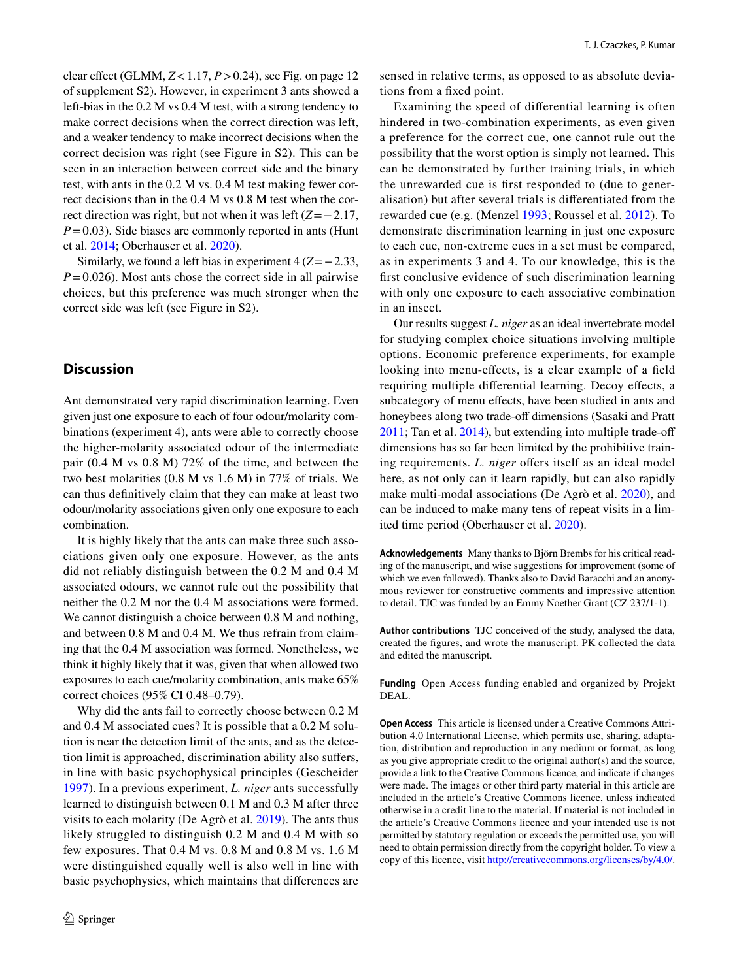clear efect (GLMM, *Z*<1.17, *P*>0.24), see Fig. on page 12 of supplement S2). However, in experiment 3 ants showed a left-bias in the 0.2 M vs 0.4 M test, with a strong tendency to make correct decisions when the correct direction was left, and a weaker tendency to make incorrect decisions when the correct decision was right (see Figure in S2). This can be seen in an interaction between correct side and the binary test, with ants in the 0.2 M vs. 0.4 M test making fewer correct decisions than in the 0.4 M vs 0.8 M test when the correct direction was right, but not when it was left (*Z*=−2.17, *P*=0.03). Side biases are commonly reported in ants (Hunt et al. [2014](#page-4-23); Oberhauser et al. [2020\)](#page-4-11).

Similarly, we found a left bias in experiment 4 (*Z*=−2.33,  $P=0.026$ ). Most ants chose the correct side in all pairwise choices, but this preference was much stronger when the correct side was left (see Figure in S2).

#### **Discussion**

Ant demonstrated very rapid discrimination learning. Even given just one exposure to each of four odour/molarity combinations (experiment 4), ants were able to correctly choose the higher-molarity associated odour of the intermediate pair (0.4 M vs 0.8 M) 72% of the time, and between the two best molarities (0.8 M vs 1.6 M) in 77% of trials. We can thus defnitively claim that they can make at least two odour/molarity associations given only one exposure to each combination.

It is highly likely that the ants can make three such associations given only one exposure. However, as the ants did not reliably distinguish between the 0.2 M and 0.4 M associated odours, we cannot rule out the possibility that neither the 0.2 M nor the 0.4 M associations were formed. We cannot distinguish a choice between 0.8 M and nothing, and between 0.8 M and 0.4 M. We thus refrain from claiming that the 0.4 M association was formed. Nonetheless, we think it highly likely that it was, given that when allowed two exposures to each cue/molarity combination, ants make 65% correct choices (95% CI 0.48–0.79).

Why did the ants fail to correctly choose between 0.2 M and 0.4 M associated cues? It is possible that a 0.2 M solution is near the detection limit of the ants, and as the detection limit is approached, discrimination ability also sufers, in line with basic psychophysical principles (Gescheider [1997](#page-4-22)). In a previous experiment, *L. niger* ants successfully learned to distinguish between 0.1 M and 0.3 M after three visits to each molarity (De Agrò et al. [2019\)](#page-4-24). The ants thus likely struggled to distinguish 0.2 M and 0.4 M with so few exposures. That 0.4 M vs. 0.8 M and 0.8 M vs. 1.6 M were distinguished equally well is also well in line with basic psychophysics, which maintains that diferences are sensed in relative terms, as opposed to as absolute deviations from a fxed point.

Examining the speed of diferential learning is often hindered in two-combination experiments, as even given a preference for the correct cue, one cannot rule out the possibility that the worst option is simply not learned. This can be demonstrated by further training trials, in which the unrewarded cue is frst responded to (due to generalisation) but after several trials is diferentiated from the rewarded cue (e.g. (Menzel [1993;](#page-4-9) Roussel et al. [2012\)](#page-4-25). To demonstrate discrimination learning in just one exposure to each cue, non-extreme cues in a set must be compared, as in experiments 3 and 4. To our knowledge, this is the frst conclusive evidence of such discrimination learning with only one exposure to each associative combination in an insect.

Our results suggest *L. niger* as an ideal invertebrate model for studying complex choice situations involving multiple options. Economic preference experiments, for example looking into menu-effects, is a clear example of a field requiring multiple diferential learning. Decoy efects, a subcategory of menu effects, have been studied in ants and honeybees along two trade-off dimensions (Sasaki and Pratt [2011](#page-4-26); Tan et al. [2014\)](#page-4-27), but extending into multiple trade-of dimensions has so far been limited by the prohibitive training requirements. *L. niger* offers itself as an ideal model here, as not only can it learn rapidly, but can also rapidly make multi-modal associations (De Agrò et al. [2020\)](#page-4-8), and can be induced to make many tens of repeat visits in a limited time period (Oberhauser et al. [2020](#page-4-5)).

**Acknowledgements** Many thanks to Björn Brembs for his critical reading of the manuscript, and wise suggestions for improvement (some of which we even followed). Thanks also to David Baracchi and an anonymous reviewer for constructive comments and impressive attention to detail. TJC was funded by an Emmy Noether Grant (CZ 237/1-1).

**Author contributions** TJC conceived of the study, analysed the data, created the fgures, and wrote the manuscript. PK collected the data and edited the manuscript.

**Funding** Open Access funding enabled and organized by Projekt DEAL.

**Open Access** This article is licensed under a Creative Commons Attribution 4.0 International License, which permits use, sharing, adaptation, distribution and reproduction in any medium or format, as long as you give appropriate credit to the original author(s) and the source, provide a link to the Creative Commons licence, and indicate if changes were made. The images or other third party material in this article are included in the article's Creative Commons licence, unless indicated otherwise in a credit line to the material. If material is not included in the article's Creative Commons licence and your intended use is not permitted by statutory regulation or exceeds the permitted use, you will need to obtain permission directly from the copyright holder. To view a copy of this licence, visit<http://creativecommons.org/licenses/by/4.0/>.